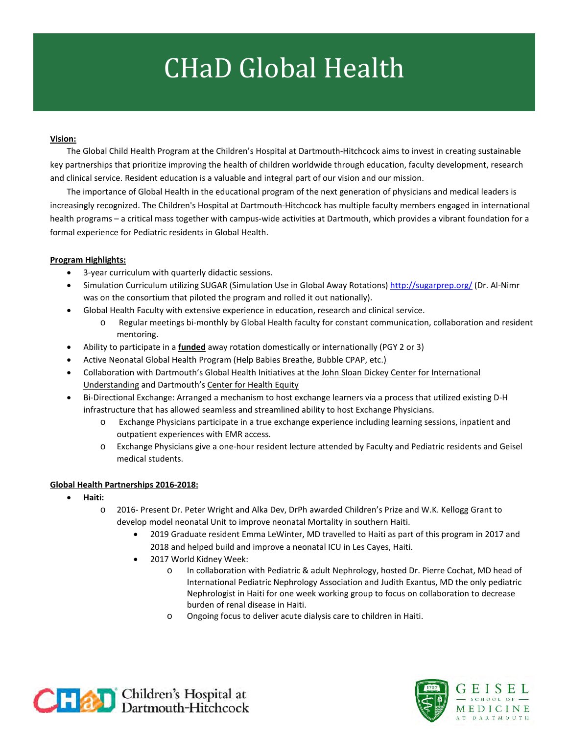## CHaD Global Health

## **Vision:**

The Global Child Health Program at the Children's Hospital at Dartmouth-Hitchcock aims to invest in creating sustainable key partnerships that prioritize improving the health of children worldwide through education, faculty development, research and clinical service. Resident education is a valuable and integral part of our vision and our mission.

The importance of Global Health in the educational program of the next generation of physicians and medical leaders is increasingly recognized. The Children's Hospital at Dartmouth-Hitchcock has multiple faculty members engaged in international health programs – a critical mass together with campus-wide activities at Dartmouth, which provides a vibrant foundation for a formal experience for Pediatric residents in Global Health.

## **Program Highlights:**

- 3-year curriculum with quarterly didactic sessions.
- Simulation Curriculum utilizing SUGAR (Simulation Use in Global Away Rotations)<http://sugarprep.org/> (Dr. Al-Nimr was on the consortium that piloted the program and rolled it out nationally).
- Global Health Faculty with extensive experience in education, research and clinical service.
	- o Regular meetings bi-monthly by Global Health faculty for constant communication, collaboration and resident mentoring.
- Ability to participate in a **funded** away rotation domestically or internationally (PGY 2 or 3)
- Active Neonatal Global Health Program (Help Babies Breathe, Bubble CPAP, etc.)
- Collaboration with Dartmouth's Global Health Initiatives at the John Sloan Dickey Center for International Understanding and Dartmouth's Center for Health Equity
- Bi-Directional Exchange: Arranged a mechanism to host exchange learners via a process that utilized existing D-H infrastructure that has allowed seamless and streamlined ability to host Exchange Physicians.
	- o Exchange Physicians participate in a true exchange experience including learning sessions, inpatient and outpatient experiences with EMR access.
	- o Exchange Physicians give a one-hour resident lecture attended by Faculty and Pediatric residents and Geisel medical students.

## **Global Health Partnerships 2016-2018:**

- **Haiti:** 
	- 2016- Present Dr. Peter Wright and Alka Dev, DrPh awarded Children's Prize and W.K. Kellogg Grant to develop model neonatal Unit to improve neonatal Mortality in southern Haiti.
		- 2019 Graduate resident Emma LeWinter, MD travelled to Haiti as part of this program in 2017 and 2018 and helped build and improve a neonatal ICU in Les Cayes, Haiti.
		- 2017 World Kidney Week:
			- o In collaboration with Pediatric & adult Nephrology, hosted Dr. Pierre Cochat, MD head of International Pediatric Nephrology Association and Judith Exantus, MD the only pediatric Nephrologist in Haiti for one week working group to focus on collaboration to decrease burden of renal disease in Haiti.
			- o Ongoing focus to deliver acute dialysis care to children in Haiti.